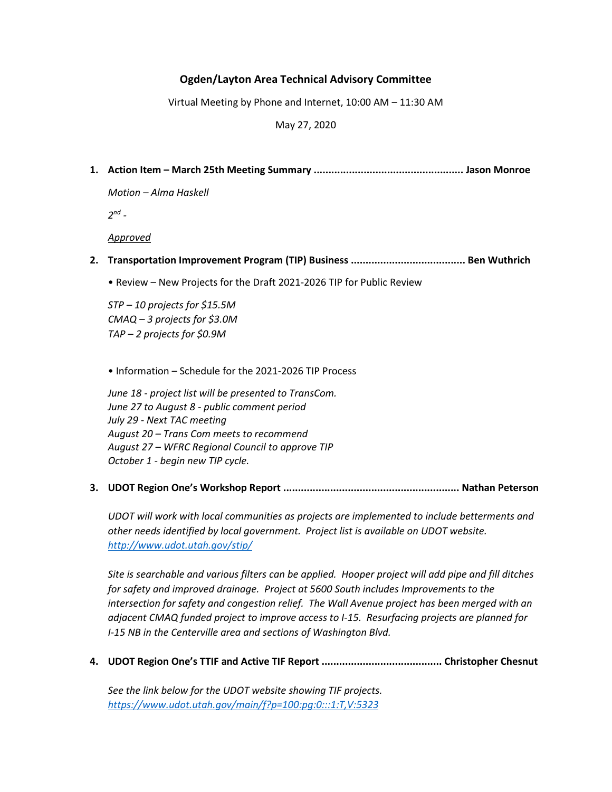## Ogden/Layton Area Technical Advisory Committee

Virtual Meeting by Phone and Internet, 10:00 AM – 11:30 AM

May 27, 2020

1. Action Item – March 25th Meeting Summary ................................................... Jason Monroe

Motion – Alma Haskell

 $2^{nd}$  -

Approved

- 2. Transportation Improvement Program (TIP) Business ....................................... Ben Wuthrich
	- Review New Projects for the Draft 2021-2026 TIP for Public Review

STP – 10 projects for \$15.5M CMAQ – 3 projects for \$3.0M TAP – 2 projects for \$0.9M

• Information – Schedule for the 2021-2026 TIP Process

June 18 - project list will be presented to TransCom. June 27 to August 8 - public comment period July 29 - Next TAC meeting August 20 – Trans Com meets to recommend August 27 – WFRC Regional Council to approve TIP October 1 - begin new TIP cycle.

3. UDOT Region One's Workshop Report ............................................................ Nathan Peterson

UDOT will work with local communities as projects are implemented to include betterments and other needs identified by local government. Project list is available on UDOT website. http://www.udot.utah.gov/stip/

Site is searchable and various filters can be applied. Hooper project will add pipe and fill ditches for safety and improved drainage. Project at 5600 South includes Improvements to the intersection for safety and congestion relief. The Wall Avenue project has been merged with an adjacent CMAQ funded project to improve access to I-15. Resurfacing projects are planned for I-15 NB in the Centerville area and sections of Washington Blvd.

4. UDOT Region One's TTIF and Active TIF Report ......................................... Christopher Chesnut

See the link below for the UDOT website showing TIF projects. https://www.udot.utah.gov/main/f?p=100:pg:0:::1:T,V:5323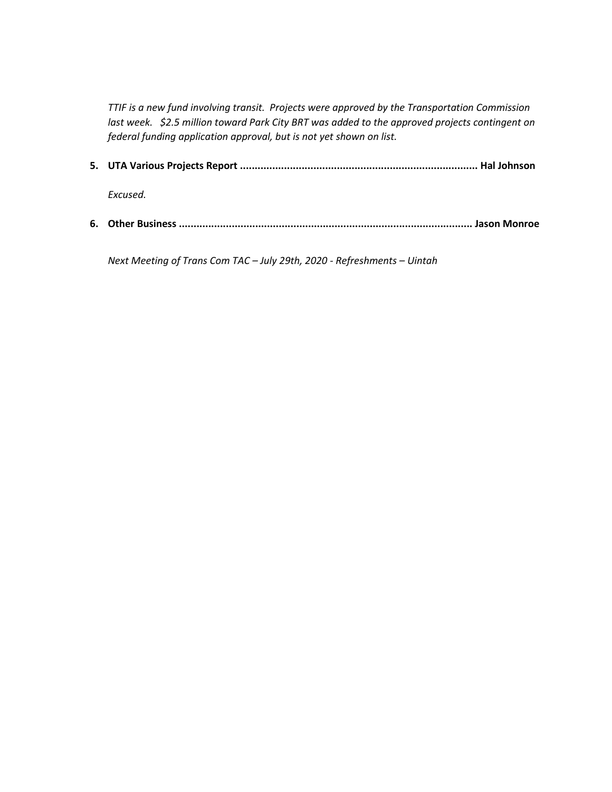TTIF is a new fund involving transit. Projects were approved by the Transportation Commission last week. \$2.5 million toward Park City BRT was added to the approved projects contingent on federal funding application approval, but is not yet shown on list.

5. UTA Various Projects Report ................................................................................. Hal Johnson

Excused.

6. Other Business .................................................................................................... Jason Monroe

Next Meeting of Trans Com TAC – July 29th, 2020 - Refreshments – Uintah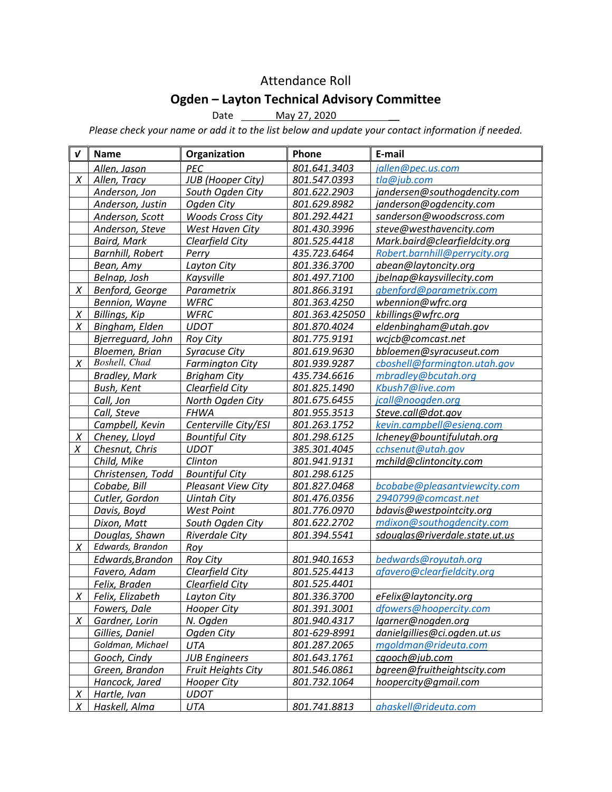## Attendance Roll

## Ogden – Layton Technical Advisory Committee

Date \_\_\_\_\_\_\_ May 27, 2020

Please check your name or add it to the list below and update your contact information if needed.

| $\mathbf v$ | <b>Name</b>             | Organization              | Phone          | E-mail                         |
|-------------|-------------------------|---------------------------|----------------|--------------------------------|
|             | Allen, Jason            | <b>PEC</b>                | 801.641.3403   | jallen@pec.us.com              |
| X           | Allen, Tracy            | <b>JUB</b> (Hooper City)  | 801.547.0393   | tla@jub.com                    |
|             | Anderson, Jon           | South Ogden City          | 801.622.2903   | jandersen@southogdencity.com   |
|             | Anderson, Justin        | Ogden City                | 801.629.8982   | janderson@ogdencity.com        |
|             | Anderson, Scott         | <b>Woods Cross City</b>   | 801.292.4421   | sanderson@woodscross.com       |
|             | Anderson, Steve         | West Haven City           | 801.430.3996   | steve@westhavencity.com        |
|             | <b>Baird, Mark</b>      | Clearfield City           | 801.525.4418   | Mark.baird@clearfieldcity.org  |
|             | <b>Barnhill, Robert</b> | Perry                     | 435.723.6464   | Robert.barnhill@perrycity.org  |
|             | Bean, Amy               | Layton City               | 801.336.3700   | abean@laytoncity.org           |
|             | Belnap, Josh            | Kaysville                 | 801.497.7100   | jbelnap@kaysvillecity.com      |
| Χ           | Benford, George         | Parametrix                | 801.866.3191   | gbenford@parametrix.com        |
|             | Bennion, Wayne          | <b>WFRC</b>               | 801.363.4250   | wbennion@wfrc.org              |
| $\chi$      | <b>Billings, Kip</b>    | <b>WFRC</b>               | 801.363.425050 | kbillings@wfrc.org             |
| X           | Bingham, Elden          | <b>UDOT</b>               | 801.870.4024   | eldenbingham@utah.gov          |
|             | Bjerreguard, John       | Roy City                  | 801.775.9191   | wcjcb@comcast.net              |
|             | Bloemen, Brian          | <b>Syracuse City</b>      | 801.619.9630   | bbloemen@syracuseut.com        |
| X           | Boshell, Chad           | <b>Farmington City</b>    | 801.939.9287   | cboshell@farmington.utah.gov   |
|             | <b>Bradley, Mark</b>    | <b>Brigham City</b>       | 435.734.6616   | mbradley@bcutah.org            |
|             | Bush, Kent              | Clearfield City           | 801.825.1490   | Kbush7@live.com                |
|             | Call, Jon               | North Ogden City          | 801.675.6455   | jcall@noogden.org              |
|             | Call, Steve             | <b>FHWA</b>               | 801.955.3513   | Steve.call@dot.gov             |
|             | Campbell, Kevin         | Centerville City/ESI      | 801.263.1752   | kevin.campbell@esieng.com      |
| X           | Cheney, Lloyd           | <b>Bountiful City</b>     | 801.298.6125   | lcheney@bountifulutah.org      |
| X           | Chesnut, Chris          | <b>UDOT</b>               | 385.301.4045   | cchsenut@utah.gov              |
|             | Child, Mike             | Clinton                   | 801.941.9131   | mchild@clintoncity.com         |
|             | Christensen, Todd       | <b>Bountiful City</b>     | 801.298.6125   |                                |
|             | Cobabe, Bill            | <b>Pleasant View City</b> | 801.827.0468   | bcobabe@pleasantviewcity.com   |
|             | Cutler, Gordon          | <b>Uintah City</b>        | 801.476.0356   | 2940799@comcast.net            |
|             | Davis, Boyd             | <b>West Point</b>         | 801.776.0970   | bdavis@westpointcity.org       |
|             | Dixon, Matt             | South Ogden City          | 801.622.2702   | mdixon@southogdencity.com      |
|             | Douglas, Shawn          | Riverdale City            | 801.394.5541   | sdouglas@riverdale.state.ut.us |
| X           | Edwards, Brandon        | Roy                       |                |                                |
|             | Edwards, Brandon        | <b>Roy City</b>           | 801.940.1653   | bedwards@royutah.org           |
|             | Favero, Adam            | Clearfield City           | 801.525.4413   | afavero@clearfieldcity.org     |
|             | Felix, Braden           | Clearfield City           | 801.525.4401   |                                |
| X           | Felix, Elizabeth        | Layton City               | 801.336.3700   | eFelix@laytoncity.org          |
|             | Fowers, Dale            | <b>Hooper City</b>        | 801.391.3001   | dfowers@hoopercity.com         |
| X           | Gardner, Lorin          | N. Ogden                  | 801.940.4317   | lgarner@nogden.org             |
|             | Gillies, Daniel         | Ogden City                | 801-629-8991   | danielgillies@ci.ogden.ut.us   |
|             | Goldman, Michael        | <b>UTA</b>                | 801.287.2065   | mgoldman@rideuta.com           |
|             | Gooch, Cindy            | <b>JUB Engineers</b>      | 801.643.1761   | cgooch@jub.com                 |
|             | Green, Brandon          | <b>Fruit Heights City</b> | 801.546.0861   | bgreen@fruitheightscity.com    |
|             | Hancock, Jared          | <b>Hooper City</b>        | 801.732.1064   | hoopercity@gmail.com           |
| <u>X</u>    | Hartle, Ivan            | <b>UDOT</b>               |                |                                |
| X           | Haskell, Alma           | UTA                       | 801.741.8813   | ahaskell@rideuta.com           |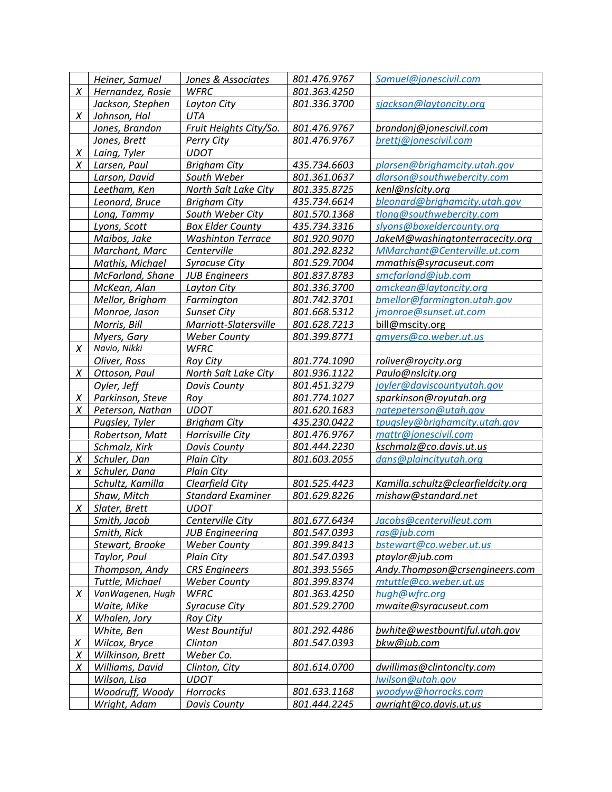|        | Heiner, Samuel   | Jones & Associates       | 801.476.9767 | Samuel@jonescivil.com              |
|--------|------------------|--------------------------|--------------|------------------------------------|
| X      | Hernandez, Rosie | <b>WFRC</b>              | 801.363.4250 |                                    |
|        | Jackson, Stephen | Layton City              | 801.336.3700 | sjackson@laytoncity.org            |
| Χ      | Johnson, Hal     | UTA                      |              |                                    |
|        | Jones, Brandon   | Fruit Heights City/So.   | 801.476.9767 | brandonj@jonescivil.com            |
|        | Jones, Brett     | Perry City               | 801.476.9767 | brettj@jonescivil.com              |
| X      | Laing, Tyler     | <b>UDOT</b>              |              |                                    |
| X      | Larsen, Paul     | <b>Brigham City</b>      | 435.734.6603 | plarsen@brighamcity.utah.gov       |
|        | Larson, David    | South Weber              | 801.361.0637 | dlarson@southwebercity.com         |
|        | Leetham, Ken     | North Salt Lake City     | 801.335.8725 | kenl@nslcity.org                   |
|        | Leonard, Bruce   | <b>Brigham City</b>      | 435.734.6614 | bleonard@brighamcity.utah.gov      |
|        | Long, Tammy      | South Weber City         | 801.570.1368 | tlong@southwebercity.com           |
|        | Lyons, Scott     | <b>Box Elder County</b>  | 435.734.3316 | slyons@boxeldercounty.org          |
|        | Maibos, Jake     | <b>Washinton Terrace</b> | 801.920.9070 | JakeM@washingtonterracecity.org    |
|        | Marchant, Marc   | Centerville              | 801.292.8232 | MMarchant@Centerville.ut.com       |
|        | Mathis, Michael  | <b>Syracuse City</b>     | 801.529.7004 | mmathis@syracuseut.com             |
|        | McFarland, Shane | <b>JUB Engineers</b>     | 801.837.8783 | smcfarland@jub.com                 |
|        | McKean, Alan     | Layton City              | 801.336.3700 | amckean@laytoncity.org             |
|        | Mellor, Brigham  | Farmington               | 801.742.3701 | bmellor@farmington.utah.gov        |
|        | Monroe, Jason    | <b>Sunset City</b>       | 801.668.5312 | jmonroe@sunset.ut.com              |
|        | Morris, Bill     | Marriott-Slatersville    | 801.628.7213 | bill@mscity.org                    |
|        | Myers, Gary      | <b>Weber County</b>      | 801.399.8771 | gmyers@co.weber.ut.us              |
| X      | Navio, Nikki     | <b>WFRC</b>              |              |                                    |
|        | Oliver, Ross     | <b>Roy City</b>          | 801.774.1090 | roliver@roycity.org                |
| X      | Ottoson, Paul    | North Salt Lake City     | 801.936.1122 | Paulo@nslcity.org                  |
|        | Oyler, Jeff      | <b>Davis County</b>      | 801.451.3279 | joyler@daviscountyutah.gov         |
| X      | Parkinson, Steve | Roy                      | 801.774.1027 | sparkinson@royutah.org             |
| Χ      | Peterson, Nathan | <b>UDOT</b>              | 801.620.1683 | natepeterson@utah.gov              |
|        | Pugsley, Tyler   | <b>Brigham City</b>      | 435.230.0422 | tpugsley@brighamcity.utah.gov      |
|        | Robertson, Matt  | Harrisville City         | 801.476.9767 | mattr@jonescivil.com               |
|        | Schmalz, Kirk    | <b>Davis County</b>      | 801.444.2230 | kschmalz@co.davis.ut.us            |
| X      | Schuler, Dan     | <b>Plain City</b>        | 801.603.2055 | dans@plaincityutah.org             |
| X      | Schuler, Dana    | <b>Plain City</b>        |              |                                    |
|        | Schultz, Kamilla | Clearfield City          | 801.525.4423 | Kamilla.schultz@clearfieldcity.org |
|        | Shaw, Mitch      | <b>Standard Examiner</b> | 801.629.8226 | mishaw@standard.net                |
| X      | Slater, Brett    | <b>UDOT</b>              |              |                                    |
|        | Smith, Jacob     | Centerville City         | 801.677.6434 | Jacobs@centervilleut.com           |
|        | Smith, Rick      | <b>JUB Engineering</b>   | 801.547.0393 | ras@jub.com                        |
|        | Stewart, Brooke  | <b>Weber County</b>      | 801.399.8413 | bstewart@co.weber.ut.us            |
|        | Taylor, Paul     | <b>Plain City</b>        | 801.547.0393 | ptaylor@jub.com                    |
|        | Thompson, Andy   | <b>CRS Engineers</b>     | 801.393.5565 | Andy.Thompson@crsengineers.com     |
|        | Tuttle, Michael  | <b>Weber County</b>      | 801.399.8374 | mtuttle@co.weber.ut.us             |
| X      | VanWagenen, Hugh | <b>WFRC</b>              | 801.363.4250 | hugh@wfrc.org                      |
|        | Waite, Mike      | <b>Syracuse City</b>     | 801.529.2700 | mwaite@syracuseut.com              |
| X      | Whalen, Jory     | Roy City                 |              |                                    |
|        | White, Ben       | <b>West Bountiful</b>    | 801.292.4486 | bwhite@westbountiful.utah.gov      |
| $\chi$ | Wilcox, Bryce    | Clinton                  | 801.547.0393 | bkw@jub.com                        |
| X      | Wilkinson, Brett | Weber Co.                |              |                                    |
| X      | Williams, David  | Clinton, City            | 801.614.0700 | dwillimas@clintoncity.com          |
|        | Wilson, Lisa     | <b>UDOT</b>              |              | lwilson@utah.gov                   |
|        | Woodruff, Woody  | Horrocks                 | 801.633.1168 | woodyw@horrocks.com                |
|        | Wright, Adam     | Davis County             | 801.444.2245 | awright@co.davis.ut.us             |